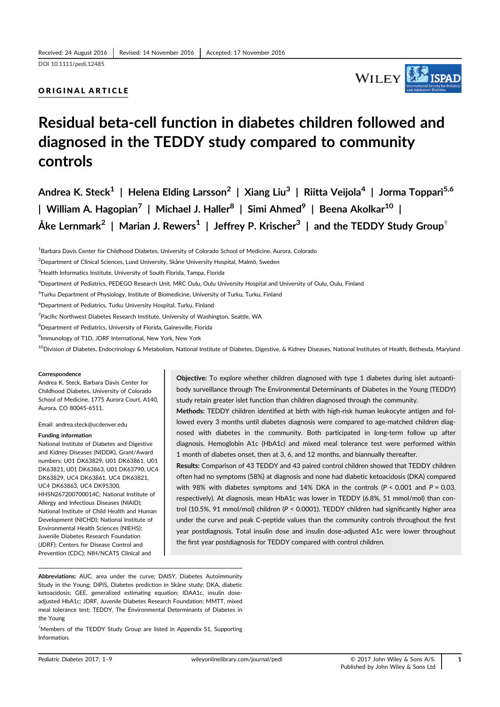# ORIGINAL ARTICLE



# Residual beta-cell function in diabetes children followed and diagnosed in the TEDDY study compared to community controls

Andrea K. Steck<sup>1</sup> | Helena Elding Larsson<sup>2</sup> | Xiang Liu<sup>3</sup> | Riitta Veijola<sup>4</sup> | Jorma Toppari<sup>5,6</sup> | William A. Hagopian<sup>7</sup> | Michael J. Haller<sup>8</sup> | Simi Ahmed<sup>9</sup> | Beena Akolkar<sup>10</sup> | Åke Lernmark<sup>2</sup> | Marian J. Rewers<sup>1</sup> | Jeffrey P. Krischer<sup>3</sup> | and the TEDDY Study Group<sup>†</sup>

<sup>1</sup>Barbara Davis Center for Childhood Diabetes, University of Colorado School of Medicine, Aurora, Colorado

2 Department of Clinical Sciences, Lund University, Skåne University Hospital, Malmö, Sweden

4 Department of Pediatrics, PEDEGO Research Unit, MRC Oulu, Oulu University Hospital and University of Oulu, Oulu, Finland

5 Turku Department of Physiology, Institute of Biomedicine, University of Turku, Turku, Finland

6 Department of Pediatrics, Turku University Hospital, Turku, Finland

<sup>7</sup> Pacific Northwest Diabetes Research Institute, University of Washington, Seattle, WA

<sup>8</sup>Department of Pediatrics, University of Florida, Gainesville, Florida

<sup>9</sup> Immunology of T1D, JDRF International, New York, New York

<sup>10</sup>Division of Diabetes, Endocrinology & Metabolism, National Institute of Diabetes, Digestive, & Kidney Diseases, National Institutes of Health, Bethesda, Maryland

#### **Correspondence**

Andrea K. Steck, Barbara Davis Center for Childhood Diabetes, University of Colorado School of Medicine, 1775 Aurora Court, A140, Aurora, CO 80045-6511.

Email: andrea.steck@ucdenver.edu

#### Funding information

National Institute of Diabetes and Digestive and Kidney Diseases (NIDDK), Grant/Award numbers: U01 DK63829, U01 DK63861, U01 DK63821, U01 DK63863, U01 DK63790, UC4 DK63829, UC4 DK63861, UC4 DK63821, UC4 DK63863, UC4 DK95300, HHSN267200700014C; National Institute of Allergy and Infectious Diseases (NIAID); National Institute of Child Health and Human Development (NICHD); National Institute of Environmental Health Sciences (NIEHS); Juvenile Diabetes Research Foundation (JDRF); Centers for Disease Control and Prevention (CDC); NIH/NCATS Clinical and

Objective: To explore whether children diagnosed with type 1 diabetes during islet autoantibody surveillance through The Environmental Determinants of Diabetes in the Young (TEDDY) study retain greater islet function than children diagnosed through the community.

Methods: TEDDY children identified at birth with high-risk human leukocyte antigen and followed every 3 months until diabetes diagnosis were compared to age-matched children diagnosed with diabetes in the community. Both participated in long-term follow up after diagnosis. Hemoglobin A1c (HbA1c) and mixed meal tolerance test were performed within 1 month of diabetes onset, then at 3, 6, and 12 months, and biannually thereafter.

Results: Comparison of 43 TEDDY and 43 paired control children showed that TEDDY children often had no symptoms (58%) at diagnosis and none had diabetic ketoacidosis (DKA) compared with 98% with diabetes symptoms and 14% DKA in the controls ( $P < 0.001$  and  $P = 0.03$ , respectively). At diagnosis, mean HbA1c was lower in TEDDY (6.8%, 51 mmol/mol) than control (10.5%, 91 mmol/mol) children (P < 0.0001). TEDDY children had significantly higher area under the curve and peak C-peptide values than the community controls throughout the first year postdiagnosis. Total insulin dose and insulin dose-adjusted A1c were lower throughout the first year postdiagnosis for TEDDY compared with control children.

Abbreviations: AUC, area under the curve; DAISY, Diabetes Autoimmunity Study in the Young; DiPiS, Diabetes prediction in Skåne study; DKA, diabetic ketoacidosis; GEE, generalized estimating equation; IDAA1c, insulin doseadjusted HbA1c; JDRF, Juvenile Diabetes Research Foundation; MMTT, mixed meal tolerance test; TEDDY, The Environmental Determinants of Diabetes in the Young

† Members of the TEDDY Study Group are listed in Appendix S1, Supporting Information.

<sup>&</sup>lt;sup>3</sup>Health Informatics Institute, University of South Florida, Tampa, Florida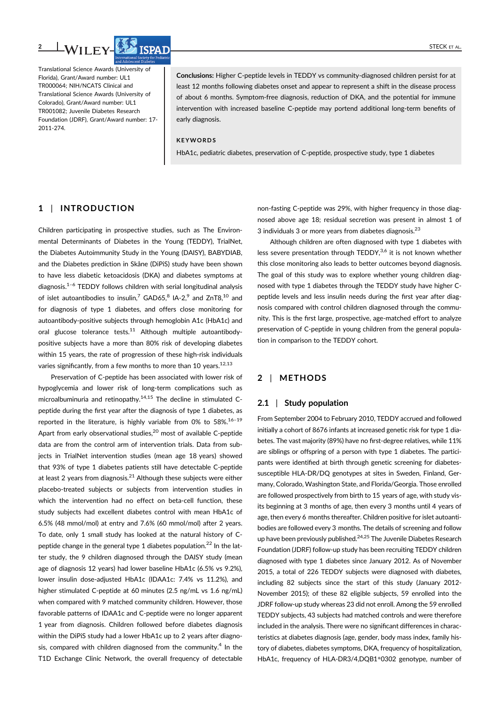

Translational Science Awards (University of Florida), Grant/Award number: UL1 TR000064; NIH/NCATS Clinical and Translational Science Awards (University of Colorado), Grant/Award number: UL1 TR001082; Juvenile Diabetes Research Foundation (JDRF), Grant/Award number: 17- 2011-274.

Conclusions: Higher C-peptide levels in TEDDY vs community-diagnosed children persist for at least 12 months following diabetes onset and appear to represent a shift in the disease process of about 6 months. Symptom-free diagnosis, reduction of DKA, and the potential for immune intervention with increased baseline C-peptide may portend additional long-term benefits of early diagnosis.

#### KEYWORDS

HbA1c, pediatric diabetes, preservation of C-peptide, prospective study, type 1 diabetes

# 1 | INTRODUCTION

Children participating in prospective studies, such as The Environmental Determinants of Diabetes in the Young (TEDDY), TrialNet, the Diabetes Autoimmunity Study in the Young (DAISY), BABYDIAB, and the Diabetes prediction in Skåne (DiPiS) study have been shown to have less diabetic ketoacidosis (DKA) and diabetes symptoms at diagnosis. $1-6$  TEDDY follows children with serial longitudinal analysis of islet autoantibodies to insulin,<sup>7</sup> GAD65,<sup>8</sup> IA-2,<sup>9</sup> and ZnT8,<sup>10</sup> and for diagnosis of type 1 diabetes, and offers close monitoring for autoantibody-positive subjects through hemoglobin A1c (HbA1c) and oral glucose tolerance tests.<sup>11</sup> Although multiple autoantibodypositive subjects have a more than 80% risk of developing diabetes within 15 years, the rate of progression of these high-risk individuals varies significantly, from a few months to more than 10 years.  $12,13$ 

Preservation of C-peptide has been associated with lower risk of hypoglycemia and lower risk of long-term complications such as microalbuminuria and retinopathy.<sup>14,15</sup> The decline in stimulated Cpeptide during the first year after the diagnosis of type 1 diabetes, as reported in the literature, is highly variable from 0% to  $58\%$ <sup>16-19</sup> Apart from early observational studies,<sup>20</sup> most of available C-peptide data are from the control arm of intervention trials. Data from subjects in TrialNet intervention studies (mean age 18 years) showed that 93% of type 1 diabetes patients still have detectable C-peptide at least 2 years from diagnosis.<sup>21</sup> Although these subjects were either placebo-treated subjects or subjects from intervention studies in which the intervention had no effect on beta-cell function, these study subjects had excellent diabetes control with mean HbA1c of 6.5% (48 mmol/mol) at entry and 7.6% (60 mmol/mol) after 2 years. To date, only 1 small study has looked at the natural history of Cpeptide change in the general type 1 diabetes population.<sup>22</sup> In the latter study, the 9 children diagnosed through the DAISY study (mean age of diagnosis 12 years) had lower baseline HbA1c (6.5% vs 9.2%), lower insulin dose-adjusted HbA1c (IDAA1c: 7.4% vs 11.2%), and higher stimulated C-peptide at 60 minutes (2.5 ng/mL vs 1.6 ng/mL) when compared with 9 matched community children. However, those favorable patterns of IDAA1c and C-peptide were no longer apparent 1 year from diagnosis. Children followed before diabetes diagnosis within the DiPiS study had a lower HbA1c up to 2 years after diagnosis, compared with children diagnosed from the community.<sup>4</sup> In the T1D Exchange Clinic Network, the overall frequency of detectable

non-fasting C-peptide was 29%, with higher frequency in those diagnosed above age 18; residual secretion was present in almost 1 of 3 individuals 3 or more years from diabetes diagnosis.<sup>23</sup>

Although children are often diagnosed with type 1 diabetes with less severe presentation through TEDDY,<sup>3,6</sup> it is not known whether this close monitoring also leads to better outcomes beyond diagnosis. The goal of this study was to explore whether young children diagnosed with type 1 diabetes through the TEDDY study have higher Cpeptide levels and less insulin needs during the first year after diagnosis compared with control children diagnosed through the community. This is the first large, prospective, age-matched effort to analyze preservation of C-peptide in young children from the general population in comparison to the TEDDY cohort.

# 2 | METHODS

#### 2.1 | Study population

From September 2004 to February 2010, TEDDY accrued and followed initially a cohort of 8676 infants at increased genetic risk for type 1 diabetes. The vast majority (89%) have no first-degree relatives, while 11% are siblings or offspring of a person with type 1 diabetes. The participants were identified at birth through genetic screening for diabetessusceptible HLA-DR/DQ genotypes at sites in Sweden, Finland, Germany, Colorado, Washington State, and Florida/Georgia. Those enrolled are followed prospectively from birth to 15 years of age, with study visits beginning at 3 months of age, then every 3 months until 4 years of age, then every 6 months thereafter. Children positive for islet autoantibodies are followed every 3 months. The details of screening and follow up have been previously published. $24,25$  The Juvenile Diabetes Research Foundation (JDRF) follow-up study has been recruiting TEDDY children diagnosed with type 1 diabetes since January 2012. As of November 2015, a total of 226 TEDDY subjects were diagnosed with diabetes, including 82 subjects since the start of this study (January 2012- November 2015); of these 82 eligible subjects, 59 enrolled into the JDRF follow-up study whereas 23 did not enroll. Among the 59 enrolled TEDDY subjects, 43 subjects had matched controls and were therefore included in the analysis. There were no significant differences in characteristics at diabetes diagnosis (age, gender, body mass index, family history of diabetes, diabetes symptoms, DKA, frequency of hospitalization, HbA1c, frequency of HLA-DR3/4,DQB1\*0302 genotype, number of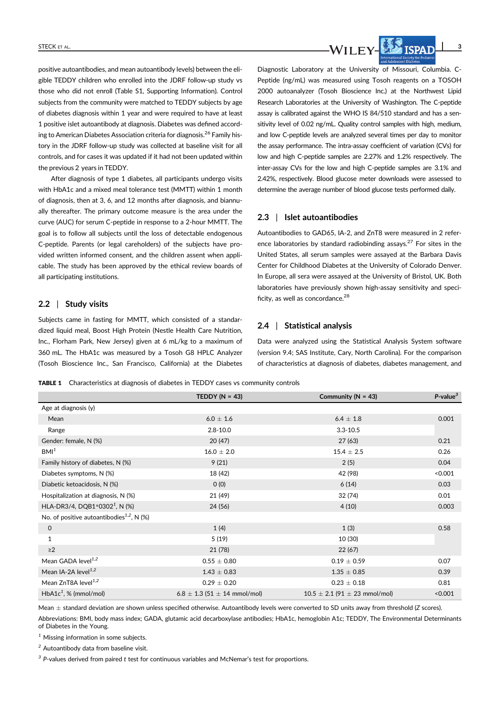

positive autoantibodies, and mean autoantibody levels) between the eligible TEDDY children who enrolled into the JDRF follow-up study vs those who did not enroll (Table S1, Supporting Information). Control subjects from the community were matched to TEDDY subjects by age of diabetes diagnosis within 1 year and were required to have at least 1 positive islet autoantibody at diagnosis. Diabetes was defined according to American Diabetes Association criteria for diagnosis.<sup>26</sup> Family history in the JDRF follow-up study was collected at baseline visit for all controls, and for cases it was updated if it had not been updated within the previous 2 years in TEDDY.

After diagnosis of type 1 diabetes, all participants undergo visits with HbA1c and a mixed meal tolerance test (MMTT) within 1 month of diagnosis, then at 3, 6, and 12 months after diagnosis, and biannually thereafter. The primary outcome measure is the area under the curve (AUC) for serum C-peptide in response to a 2-hour MMTT. The goal is to follow all subjects until the loss of detectable endogenous C-peptide. Parents (or legal careholders) of the subjects have provided written informed consent, and the children assent when applicable. The study has been approved by the ethical review boards of all participating institutions.

#### 2.2 | Study visits

Subjects came in fasting for MMTT, which consisted of a standardized liquid meal, Boost High Protein (Nestle Health Care Nutrition, Inc., Florham Park, New Jersey) given at 6 mL/kg to a maximum of 360 mL. The HbA1c was measured by a Tosoh G8 HPLC Analyzer (Tosoh Bioscience Inc., San Francisco, California) at the Diabetes

Diagnostic Laboratory at the University of Missouri, Columbia. C-Peptide (ng/mL) was measured using Tosoh reagents on a TOSOH 2000 autoanalyzer (Tosoh Bioscience Inc.) at the Northwest Lipid Research Laboratories at the University of Washington. The C-peptide assay is calibrated against the WHO IS 84/510 standard and has a sensitivity level of 0.02 ng/mL. Quality control samples with high, medium, and low C-peptide levels are analyzed several times per day to monitor the assay performance. The intra-assay coefficient of variation (CVs) for low and high C-peptide samples are 2.27% and 1.2% respectively. The inter-assay CVs for the low and high C-peptide samples are 3.1% and 2.42%, respectively. Blood glucose meter downloads were assessed to determine the average number of blood glucose tests performed daily.

#### 2.3 | Islet autoantibodies

Autoantibodies to GAD65, IA-2, and ZnT8 were measured in 2 reference laboratories by standard radiobinding assays. $27$  For sites in the United States, all serum samples were assayed at the Barbara Davis Center for Childhood Diabetes at the University of Colorado Denver. In Europe, all sera were assayed at the University of Bristol, UK. Both laboratories have previously shown high-assay sensitivity and specificity, as well as concordance.<sup>28</sup>

# 2.4 | Statistical analysis

Data were analyzed using the Statistical Analysis System software (version 9.4; SAS Institute, Cary, North Carolina). For the comparison of characteristics at diagnosis of diabetes, diabetes management, and

TABLE 1 Characteristics at diagnosis of diabetes in TEDDY cases vs community controls

|                                                       | TEDDY ( $N = 43$ )                   | Community ( $N = 43$ )                | $P$ -value $^3$ |
|-------------------------------------------------------|--------------------------------------|---------------------------------------|-----------------|
| Age at diagnosis (y)                                  |                                      |                                       |                 |
| Mean                                                  | $6.0 \pm 1.6$                        | $6.4 \pm 1.8$                         | 0.001           |
| Range                                                 | $2.8 - 10.0$                         | $3.3 - 10.5$                          |                 |
| Gender: female, N (%)                                 | 20(47)                               | 27(63)                                | 0.21            |
| BM <sup>1</sup>                                       | $16.0 \pm 2.0$                       | $15.4 \pm 2.5$                        | 0.26            |
| Family history of diabetes, N (%)                     | 9(21)                                | 2(5)                                  | 0.04            |
| Diabetes symptoms, N (%)                              | 18 (42)                              | 42 (98)                               | < 0.001         |
| Diabetic ketoacidosis, N (%)                          | O(0)                                 | 6(14)                                 | 0.03            |
| Hospitalization at diagnosis, N (%)                   | 21 (49)                              | 32 (74)                               | 0.01            |
| HLA-DR3/4, DQB1*0302 <sup>1</sup> , N (%)             | 24 (56)                              | 4(10)                                 | 0.003           |
| No. of positive autoantibodies <sup>1,2</sup> , N (%) |                                      |                                       |                 |
| 0                                                     | 1(4)                                 | 1(3)                                  | 0.58            |
| $\mathbf{1}$                                          | 5(19)                                | 10 (30)                               |                 |
| $\geq$ 2                                              | 21(78)                               | 22(67)                                |                 |
| Mean GADA level $1,2$                                 | $0.55 \pm 0.80$                      | $0.19 \pm 0.59$                       | 0.07            |
| Mean IA-2A level <sup>1,2</sup>                       | $1.43 \pm 0.83$                      | $1.35 \pm 0.85$                       | 0.39            |
| Mean $ZnT8A$ level <sup>1,2</sup>                     | $0.29 \pm 0.20$                      | $0.23 \pm 0.18$                       | 0.81            |
| $HbA1c1$ , % (mmol/mol)                               | $6.8 \pm 1.3$ (51 $\pm$ 14 mmol/mol) | $10.5 \pm 2.1$ (91 $\pm$ 23 mmol/mol) | < 0.001         |

Mean  $\pm$  standard deviation are shown unless specified otherwise. Autoantibody levels were converted to SD units away from threshold (Z scores).

Abbreviations: BMI, body mass index; GADA, glutamic acid decarboxylase antibodies; HbA1c, hemoglobin A1c; TEDDY, The Environmental Determinants of Diabetes in the Young.

 $1$  Missing information in some subjects.

<sup>2</sup> Autoantibody data from baseline visit.

 $3$  P-values derived from paired t test for continuous variables and McNemar's test for proportions.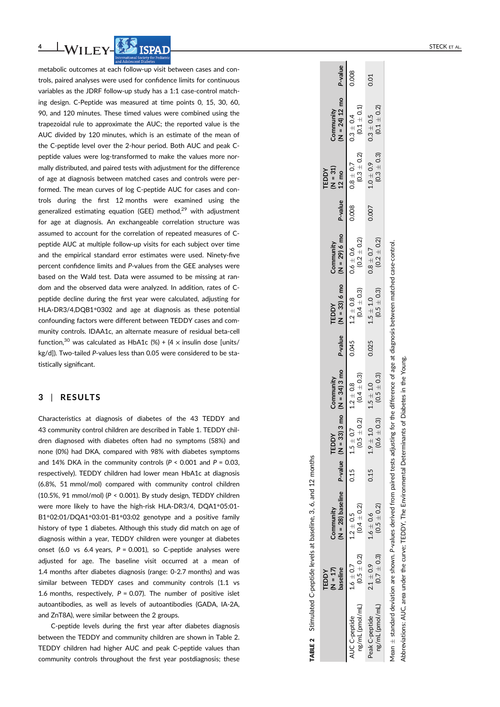

metabolic outcomes at each follow-up visit between cases and controls, paired analyses were used for confidence limits for continuous variables as the JDRF follow-up study has a 1:1 case-control matching design. C-Peptide was measured at time points 0, 15, 30, 60, 90, and 120 minutes. These timed values were combined using the trapezoidal rule to approximate the AUC; the reported value is the AUC divided by 120 minutes, which is an estimate of the mean of the C-peptide level over the 2-hour period. Both AUC and peak Cpeptide values were log-transformed to make the values more normally distributed, and paired tests with adjustment for the difference of age at diagnosis between matched cases and controls were performed. The mean curves of log C-peptide AUC for cases and controls during the first 12 months were examined using the generalized estimating equation (GEE) method, $29$  with adjustment for age at diagnosis. An exchangeable correlation structure was assumed to account for the correlation of repeated measures of Cpeptide AUC at multiple follow-up visits for each subject over time and the empirical standard error estimates were used. Ninety-five percent con fidence limits and P-values from the GEE analyses were based on the Wald test. Data were assumed to be missing at random and the observed data were analyzed. In addition, rates of Cpeptide decline during the first year were calculated, adjusting for HLA-DR3/4,DQB1 \*0302 and age at diagnosis as these potential confounding factors were different between TEDDY cases and community controls. IDAA1c, an alternate measure of residual beta-cell function,  $30$  was calculated as HbA1c (%) + (4  $\times$  insulin dose [units/ kg/d]). Two-tailed P-values less than 0.05 were considered to be statistically significant.

# 3 | RESULTS

Characteristics at diagnosis of diabetes of the 43 TEDDY and 43 community control children are described in Table 1. TEDDY children diagnosed with diabetes often had no symptoms (58%) and none (0%) had DKA, compared with 98% with diabetes symptoms and 14% DKA in the community controls ( $P < 0.001$  and  $P = 0.03$ , respectively). TEDDY children had lower mean HbA1c at diagnosis (6.8%, 51 mmol/mol) compared with community control children (10.5%, 91 mmol/mol) ( P < 0.001). By study design, TEDDY children were more likely to have the high-risk HLA-DR3/4, DQA1 \*05:01- B1\*02:01/DQA1\*03:01-B1\*03:02 genotype and a positive family history of type 1 diabetes. Although this study did match on age of diagnosis within a year, TEDDY children were younger at diabetes onset (6.0 vs 6.4 years,  $P = 0.001$ ), so C-peptide analyses were adjusted for age. The baseline visit occurred at a mean of 1.4 months after diabetes diagnosis (range: 0-2.7 months) and was similar between TEDDY cases and community controls (1.1 vs 1.6 months, respectively,  $P = 0.07$ ). The number of positive islet autoantibodies, as well as levels of autoantibodies (GADA, IA-2A, and ZnT8A), were similar between the 2 groups.

C-peptide levels during the first year after diabetes diagnosis between the TEDDY and community children are shown in Table 2. TEDDY children had higher AUC and peak C-peptide values than community controls throughout the first year postdiagnosis; these **TABLE 2** Stimulated C-peptide levels at baseline, 3, 6, and 12 months TABLE 2 Stimulated C-peptide levels at baseline, 3, 6, and 12 months

|                                                                                       | 0.008                                    | 0.01                                             |  |
|---------------------------------------------------------------------------------------|------------------------------------------|--------------------------------------------------|--|
| Community<br>(N = 24) 12 mo P-value                                                   | $(0.1 \pm 0.1)$<br>$0.3 \pm 0.4$         | $(0.3 \pm 0.3)$ $(0.1 \pm 0.2)$<br>$0.3 \pm 0.5$ |  |
| $\begin{array}{c} \mathsf{TEDDY} \\ (\mathsf{N} = 31) \end{array}$<br>$12 \text{ mo}$ | $0.008$ $0.8 \pm 0.7$<br>$(0.3 \pm 0.2)$ | $1.0 \pm 0.9$                                    |  |
|                                                                                       |                                          | 0.007                                            |  |
| $(N = 29) 6$ mo $P-value$<br>Community                                                | $(0.2 + 0.2)$<br>$0.6 \pm 0.6$           | $(0.2 \pm 0.2)$<br>$0.8 \pm 0.7$                 |  |
| $(N = 33) 6$ mo<br>TEDDY                                                              | $(0.4 \pm 0.3)$<br>$1.2 \pm 0.8$         | $(0.5 \pm 0.3)$<br>$1.5\,\pm\,1.0$               |  |
| P-value                                                                               | 0.045                                    | 0.025                                            |  |
|                                                                                       | $(0.5 \pm 0.2)$ $(0.4 \pm 0.3)$          | $(0.6 \pm 0.3)$ $(0.5 \pm 0.3)$<br>$1.5 \pm 1.0$ |  |
|                                                                                       | $\pm 0.7$ $1.2 \pm 0.8$<br>1.5           | $1.9 \pm 1.0$                                    |  |
|                                                                                       | 0.15                                     | 0.15                                             |  |
| Community<br>(N = 28) baseline P-value (N = 33) 3 mo (N = 34) 3 mo                    | $(0.4 \pm 0.2)$<br>$1.2\,\pm\,0.5$       | $(0.5 \pm 0.2)$<br>$1.6 \pm 0.6$                 |  |
| TEDDY<br>(N = 17)<br>baseline                                                         | $(0.5 \pm 0.2)$<br>$1.6 \pm 0.7$         | $(0.7 \pm 0.3)$<br>$2.1 \pm 0.9$                 |  |
|                                                                                       | \UC C-peptide<br>ng/mL (pmol/mL)         | (Jm/pomplyml<br>Peak C-peptide                   |  |

 $\overline{a}$ 

 $\sim 100$ 

Mean  $\pm$  standard deviation are shown. P-values derived from paired tests adjusting for the difference of age at diagnosis between matched case-control. Mean  $\pm$  standard deviation are shown. P-values derived from paired tests adjusting for the difference of age at diagnosis between matched case-control.

Young. Abbreviations: AUC, area under the curve; TEDDY, The Environmental Determinants of Diabetes in the Young. the curve; TEDDY, The Environmental Determinants of Diabetes in the Abbreviations: AUC, area under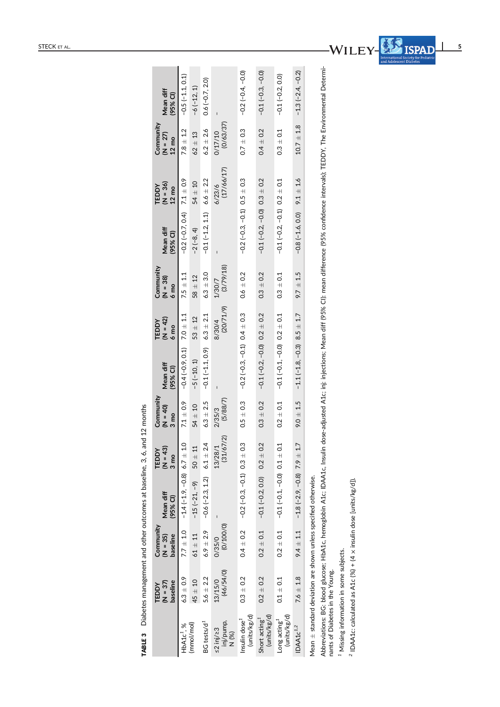|                                                                |       | Mean diff                                                                                                                                                                             |
|----------------------------------------------------------------|-------|---------------------------------------------------------------------------------------------------------------------------------------------------------------------------------------|
|                                                                |       | TEDDY Community<br>$(M = 42)$ $(M = 38)$                                                                                                                                              |
|                                                                |       |                                                                                                                                                                                       |
|                                                                |       |                                                                                                                                                                                       |
| ement and other outcomes at baseline, $3, 6$ , and $12$ months |       |                                                                                                                                                                                       |
|                                                                |       | Community $\begin{array}{ccc} \text{Ceam} & \text{TEDDY} & \text{Commutivity} \ \text{(N = 35)} & \text{Mean diff} & \text{(N = 43)} & \text{N = 40)} & \text{Mean diff} \end{array}$ |
|                                                                |       |                                                                                                                                                                                       |
|                                                                |       |                                                                                                                                                                                       |
| Diabetes manas                                                 | TEDDY | $1 = 37$                                                                                                                                                                              |
| TABLE 3                                                        |       |                                                                                                                                                                                       |

|                                                                     | TEDDY                             | Community              |                                                   | TEDDY                         | Community                     |                                          | TEDDY                        | Community                     |                                  | TEDDY                          | Community                     |                       |
|---------------------------------------------------------------------|-----------------------------------|------------------------|---------------------------------------------------|-------------------------------|-------------------------------|------------------------------------------|------------------------------|-------------------------------|----------------------------------|--------------------------------|-------------------------------|-----------------------|
|                                                                     | baseline<br>$(\overline{S} = 37)$ | baseline<br>$(N = 35)$ | Mean diff<br>(95% CI)                             | $(N = 43)$<br>3 <sub>mo</sub> | $(0 + 40)$<br>3 <sub>mo</sub> | Mean diff<br>(95% CI)                    | $(N = 42)$<br>$6 \text{ mo}$ | $(18) - 10$<br>$6 \text{ mo}$ | Mean diff<br>(95% CI)            | $(96 - 36)$<br>$12 \text{ mo}$ | $(N = 27)$<br>$12 \text{ mo}$ | Mean diff<br>(95% CI) |
| $HbA1c1$ , %                                                        | $6.3 \pm 0.9$                     |                        | $7.7 \pm 1.0$ $-1.4 (-1.9, -0.8) 6.7 \pm 1.0$     |                               | $7.1 \pm 0.9$                 | $-0.4 (-0.9, 0.1)$ 7.0 $\pm$ 1.1         |                              | $7.5 \pm 1.1$                 | $-0.2(-0.7, 0.4)$ 7.1 $\pm$ 0.9  |                                | $7.8 \pm 1.2$                 | $-0.5(-1.1, 0.1)$     |
| (mmol/mol)                                                          | $45 + 10$                         | $61 \pm 11$            | $-15(-21, -9)$                                    | $50 \pm 11$                   | $54 \pm 10$                   | $-5(-10, 1)$                             | $53 + 12$                    | $58 + 12$                     | $-2(-8, 4)$                      | $54 \pm 10$                    | $62 + 13$                     | $-6(-12, 1)$          |
| BG tests/d <sup>1</sup>                                             | $5.6 \pm 2.2$                     | $6.9 \pm 2.9$          | $-0.6(-2.3, 1.2)$ $6.1 \pm 2.4$                   |                               | $6.3 \pm 2.5$                 | $-0.1(-1.1, 0.9)$                        | $6.3 \pm 2.1$                | $6.3 + 3.0$                   | $-0.1(-1.2, 1.1)$                | $6.6 \pm 2.2$                  | $6.2 \pm 2.6$                 | $0.6(-0.7, 2.0)$      |
| inj/pump,<br>$\leq$ 2 inj/ $\geq$ 3<br>N (%)                        | (46/54/0)<br>13/15/0              | (0/100/0)<br>0/35/0    |                                                   | (31/67/2)<br>13/28/1          | (5/88/7)<br>2/35/3            | I                                        | (20/71/9)<br>8/30/4          | (3/79/18)<br>1/30/7           |                                  | (17/66/17)<br>6/23/6           | (0/63/37)<br>0/17/10          |                       |
| (units/kg/d)<br>Insulin dose <sup>1</sup>                           | $0.3 \pm 0.2$                     | $0.4 \pm 0.2$          | $-0.2(-0.3, -0.1)$ 0.3 $\pm$ 0.3                  |                               | $0.5 \pm 0.3$                 | $-0.2(-0.3, -0.1)$ 0.4 $\pm$ 0.3         |                              | $0.6 \pm 0.2$                 | $-0.2(-0.3, -0.1)$ 0.5 $\pm$ 0.3 |                                | $0.7 \pm 0.3$                 | $-0.2(-0.4, -0.0)$    |
| (units/kg/d)<br>Short acting <sup>1</sup>                           | $0.2 \pm 0.2$                     | $0.2 \pm 0.1$          | $-0.1(-0.2, 0.0)$ 0.2 $\pm$ 0.2                   |                               | $0.3 \pm 0.2$                 | $-0.1(-0.2, -0.0)$ 0.2 $\pm$ 0.2         |                              | $0.3 + 0.2$                   | $-0.1(-0.2, -0.0)$ 0.3 $\pm$ 0.2 |                                | $0.4 \pm 0.2$                 | $-0.1(-0.3, -0.0)$    |
| (units/kg/d)<br>Long acting <sup>1</sup>                            | $0.1 \pm 0.1$                     | $0.2 \pm 0.1$          | $-0.1(-0.1, -0.0)$ 0.1 $\pm$ 0.1                  |                               | $0.2 \pm 0.1$                 | $-0.1(-0.1, -0.0)$ $0.2 \pm 0.1$         |                              | $0.3 \pm 0.1$                 | $-0.1(-0.2, -0.1)$ 0.2 $\pm$ 0.1 |                                | $0.3 \pm 0.1$                 | $-0.1(-0.2, 0.0)$     |
| IDAA1c <sup>1,2</sup>                                               | $7.6 \pm 1.8$                     |                        | $9.4 \pm 1.1$ $-1.8$ $(-2.9, -0.8)$ 7.9 $\pm$ 1.7 |                               | $9.0 \pm 1.5$                 | $-1.1$ ( $-1.8$ , $-0.3$ ) 8.5 $\pm$ 1.7 |                              | $9.7 \pm 1.5$                 | $-0.8(-1.6, 0.0)$ 9.1 $\pm$ 1.6  |                                | $10.7 \pm 1.8$                | $-1.3(-2.4, -0.2)$    |
| Mean $\pm$ standard deviation are shown unless specified otherwise. |                                   |                        |                                                   |                               |                               |                                          |                              |                               |                                  |                                |                               |                       |

Abbreviations: BG: blood glucose; HbA1c, hemoglobin A1c; IDAA1c, Insulin dose-adjusted A1c; inj: injections; Mean diff (95% CI): mean difference (95% confidence intervals); TEDDY, The Environmental Determi-<br>nants of Diabet Abbreviations: BG: blood glucose; HbA1c, hemoglobin A1c; IDAA1c, Insulin dose-adjusted A1c; inj: injections; Mean diff (95% CI): mean difference (95% confidence intervals); TEDDY, The Environmental Determinants of Diabetes in the Young.

 $\overline{\phantom{a}5}$ 

WILEY-BEND

<sup>1</sup> Missing information in some subjects. Missing information in some subjects.

<sup>2</sup> IDAA1c: calculated as A1c (%) + (4 x insulin dose [units/kg/d]).  $\frac{2}{7}$  IDAA1c: calculated as A1c (%) + (4 x insulin dose [units/kg/d]).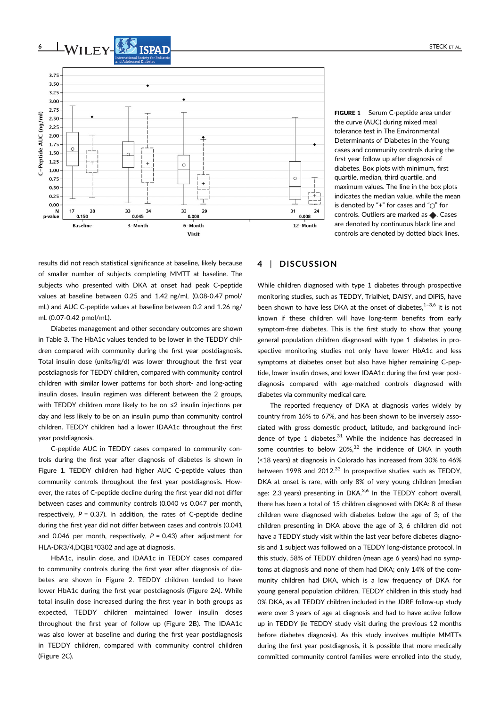

FIGURE 1 Serum C-peptide area under the curve (AUC) during mixed meal tolerance test in The Environmental Determinants of Diabetes in the Young cases and community controls during the first year follow up after diagnosis of diabetes. Box plots with minimum, first quartile, median, third quartile, and maximum values. The line in the box plots indicates the median value, while the mean is denoted by "+" for cases and " $\bigcirc$ " for controls. Outliers are marked as  $\spadesuit$ . Cases are denoted by continuous black line and controls are denoted by dotted black lines.

results did not reach statistical significance at baseline, likely because of smaller number of subjects completing MMTT at baseline. The subjects who presented with DKA at onset had peak C-peptide values at baseline between 0.25 and 1.42 ng/mL (0.08-0.47 pmol/ mL) and AUC C-peptide values at baseline between 0.2 and 1.26 ng/ mL (0.07-0.42 pmol/mL).

Diabetes management and other secondary outcomes are shown in Table 3. The HbA1c values tended to be lower in the TEDDY children compared with community during the first year postdiagnosis. Total insulin dose (units/kg/d) was lower throughout the first year postdiagnosis for TEDDY children, compared with community control children with similar lower patterns for both short- and long-acting insulin doses. Insulin regimen was different between the 2 groups, with TEDDY children more likely to be on ≤2 insulin injections per day and less likely to be on an insulin pump than community control children. TEDDY children had a lower IDAA1c throughout the first year postdiagnosis.

C-peptide AUC in TEDDY cases compared to community controls during the first year after diagnosis of diabetes is shown in Figure 1. TEDDY children had higher AUC C-peptide values than community controls throughout the first year postdiagnosis. However, the rates of C-peptide decline during the first year did not differ between cases and community controls (0.040 vs 0.047 per month, respectively,  $P = 0.37$ ). In addition, the rates of C-peptide decline during the first year did not differ between cases and controls (0.041 and 0.046 per month, respectively,  $P = 0.43$ ) after adjustment for HLA-DR3/4,DQB1\*0302 and age at diagnosis.

HbA1c, insulin dose, and IDAA1c in TEDDY cases compared to community controls during the first year after diagnosis of diabetes are shown in Figure 2. TEDDY children tended to have lower HbA1c during the first year postdiagnosis (Figure 2A). While total insulin dose increased during the first year in both groups as expected, TEDDY children maintained lower insulin doses throughout the first year of follow up (Figure 2B). The IDAA1c was also lower at baseline and during the first year postdiagnosis in TEDDY children, compared with community control children (Figure 2C).

# 4 | DISCUSSION

While children diagnosed with type 1 diabetes through prospective monitoring studies, such as TEDDY, TrialNet, DAISY, and DiPiS, have been shown to have less DKA at the onset of diabetes, $1-3,6$  it is not known if these children will have long-term benefits from early symptom-free diabetes. This is the first study to show that young general population children diagnosed with type 1 diabetes in prospective monitoring studies not only have lower HbA1c and less symptoms at diabetes onset but also have higher remaining C-peptide, lower insulin doses, and lower IDAA1c during the first year postdiagnosis compared with age-matched controls diagnosed with diabetes via community medical care.

The reported frequency of DKA at diagnosis varies widely by country from 16% to 67%, and has been shown to be inversely associated with gross domestic product, latitude, and background incidence of type 1 diabetes.<sup>31</sup> While the incidence has decreased in some countries to below  $20\%$ <sup>32</sup> the incidence of DKA in youth (<18 years) at diagnosis in Colorado has increased from 30% to 46% between 1998 and 2012.<sup>33</sup> In prospective studies such as TEDDY, DKA at onset is rare, with only 8% of very young children (median age: 2.3 years) presenting in  $DKA<sup>3,6</sup>$  In the TEDDY cohort overall. there has been a total of 15 children diagnosed with DKA: 8 of these children were diagnosed with diabetes below the age of 3; of the children presenting in DKA above the age of 3, 6 children did not have a TEDDY study visit within the last year before diabetes diagnosis and 1 subject was followed on a TEDDY long-distance protocol. In this study, 58% of TEDDY children (mean age 6 years) had no symptoms at diagnosis and none of them had DKA; only 14% of the community children had DKA, which is a low frequency of DKA for young general population children. TEDDY children in this study had 0% DKA, as all TEDDY children included in the JDRF follow-up study were over 3 years of age at diagnosis and had to have active follow up in TEDDY (ie TEDDY study visit during the previous 12 months before diabetes diagnosis). As this study involves multiple MMTTs during the first year postdiagnosis, it is possible that more medically committed community control families were enrolled into the study,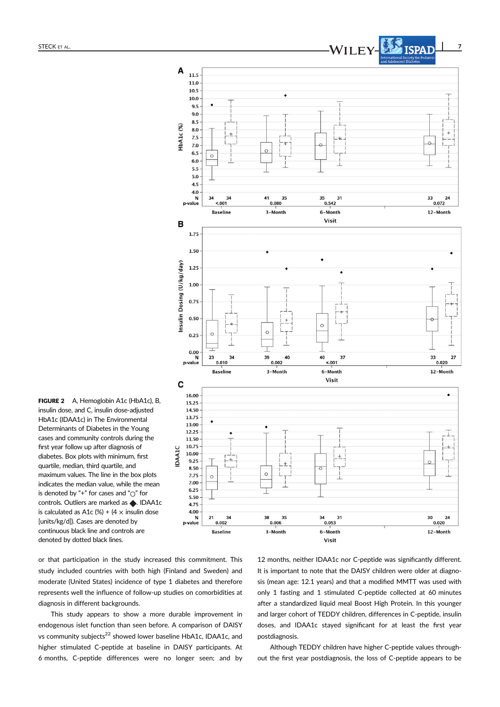$\overline{A}$ 11.5





FIGURE 2 A, Hemoglobin A1c (HbA1c), B, insulin dose, and C, insulin dose-adjusted HbA1c (IDAA1c) in The Environmental Determinants of Diabetes in the Young cases and community controls during the first year follow up after diagnosis of diabetes. Box plots with minimum, first quartile, median, third quartile, and maximum values. The line in the box plots indicates the median value, while the mean is denoted by "+" for cases and " $\bigcirc$ " for controls. Outliers are marked as  $\blacklozenge$ . IDAA1c is calculated as A1c  $%$  +  $(4 \times$  insulin dose [units/kg/d]). Cases are denoted by continuous black line and controls are denoted by dotted black lines.

or that participation in the study increased this commitment. This study included countries with both high (Finland and Sweden) and moderate (United States) incidence of type 1 diabetes and therefore represents well the influence of follow-up studies on comorbidities at diagnosis in different backgrounds.

This study appears to show a more durable improvement in endogenous islet function than seen before. A comparison of DAISY vs community subjects<sup>22</sup> showed lower baseline HbA1c, IDAA1c, and higher stimulated C-peptide at baseline in DAISY participants. At 6 months, C-peptide differences were no longer seen; and by

12 months, neither IDAA1c nor C-peptide was significantly different. It is important to note that the DAISY children were older at diagnosis (mean age: 12.1 years) and that a modified MMTT was used with only 1 fasting and 1 stimulated C-peptide collected at 60 minutes after a standardized liquid meal Boost High Protein. In this younger and larger cohort of TEDDY children, differences in C-peptide, insulin doses, and IDAA1c stayed significant for at least the first year postdiagnosis.

Although TEDDY children have higher C-peptide values throughout the first year postdiagnosis, the loss of C-peptide appears to be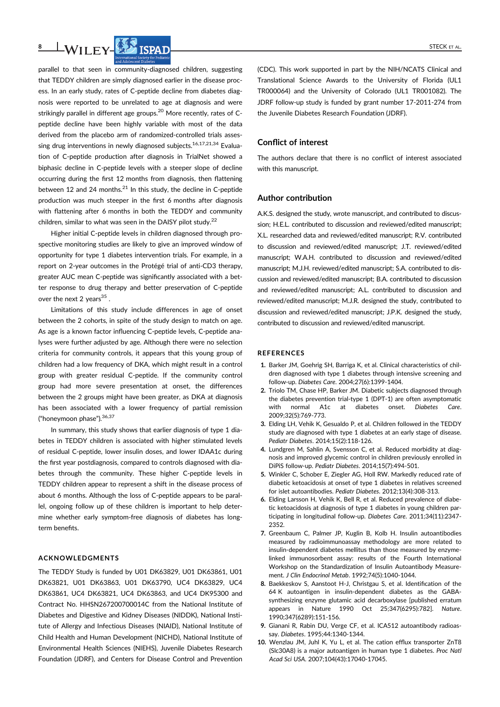

parallel to that seen in community-diagnosed children, suggesting that TEDDY children are simply diagnosed earlier in the disease process. In an early study, rates of C-peptide decline from diabetes diagnosis were reported to be unrelated to age at diagnosis and were strikingly parallel in different age groups.<sup>20</sup> More recently, rates of Cpeptide decline have been highly variable with most of the data derived from the placebo arm of randomized-controlled trials assessing drug interventions in newly diagnosed subjects.<sup>16,17,21,34</sup> Evaluation of C-peptide production after diagnosis in TrialNet showed a biphasic decline in C-peptide levels with a steeper slope of decline occurring during the first 12 months from diagnosis, then flattening between 12 and 24 months. $^{21}$  In this study, the decline in C-peptide production was much steeper in the first 6 months after diagnosis with flattening after 6 months in both the TEDDY and community children, similar to what was seen in the DAISY pilot study. $^{22}$ 

Higher initial C-peptide levels in children diagnosed through prospective monitoring studies are likely to give an improved window of opportunity for type 1 diabetes intervention trials. For example, in a report on 2-year outcomes in the Protégé trial of anti-CD3 therapy, greater AUC mean C-peptide was significantly associated with a better response to drug therapy and better preservation of C-peptide over the next 2 years $35$ .

Limitations of this study include differences in age of onset between the 2 cohorts, in spite of the study design to match on age. As age is a known factor influencing C-peptide levels, C-peptide analyses were further adjusted by age. Although there were no selection criteria for community controls, it appears that this young group of children had a low frequency of DKA, which might result in a control group with greater residual C-peptide. If the community control group had more severe presentation at onset, the differences between the 2 groups might have been greater, as DKA at diagnosis has been associated with a lower frequency of partial remission ("honeymoon phase"). 36,37

In summary, this study shows that earlier diagnosis of type 1 diabetes in TEDDY children is associated with higher stimulated levels of residual C-peptide, lower insulin doses, and lower IDAA1c during the first year postdiagnosis, compared to controls diagnosed with diabetes through the community. These higher C-peptide levels in TEDDY children appear to represent a shift in the disease process of about 6 months. Although the loss of C-peptide appears to be parallel, ongoing follow up of these children is important to help determine whether early symptom-free diagnosis of diabetes has longterm benefits.

#### ACKNOWLEDGMENTS

The TEDDY Study is funded by U01 DK63829, U01 DK63861, U01 DK63821, U01 DK63863, U01 DK63790, UC4 DK63829, UC4 DK63861, UC4 DK63821, UC4 DK63863, and UC4 DK95300 and Contract No. HHSN267200700014C from the National Institute of Diabetes and Digestive and Kidney Diseases (NIDDK), National Institute of Allergy and Infectious Diseases (NIAID), National Institute of Child Health and Human Development (NICHD), National Institute of Environmental Health Sciences (NIEHS), Juvenile Diabetes Research Foundation (JDRF), and Centers for Disease Control and Prevention

(CDC). This work supported in part by the NIH/NCATS Clinical and Translational Science Awards to the University of Florida (UL1 TR000064) and the University of Colorado (UL1 TR001082). The JDRF follow-up study is funded by grant number 17-2011-274 from the Juvenile Diabetes Research Foundation (JDRF).

# Conflict of interest

The authors declare that there is no conflict of interest associated with this manuscript.

#### Author contribution

A.K.S. designed the study, wrote manuscript, and contributed to discussion; H.E.L. contributed to discussion and reviewed/edited manuscript; X.L. researched data and reviewed/edited manuscript; R.V. contributed to discussion and reviewed/edited manuscript; J.T. reviewed/edited manuscript; W.A.H. contributed to discussion and reviewed/edited manuscript; M.J.H. reviewed/edited manuscript; S.A. contributed to discussion and reviewed/edited manuscript; B.A. contributed to discussion and reviewed/edited manuscript; A.L. contributed to discussion and reviewed/edited manuscript; M.J.R. designed the study, contributed to discussion and reviewed/edited manuscript; J.P.K. designed the study, contributed to discussion and reviewed/edited manuscript.

#### REFERENCES

- 1. Barker JM, Goehrig SH, Barriga K, et al. Clinical characteristics of children diagnosed with type 1 diabetes through intensive screening and follow-up. Diabetes Care. 2004;27(6):1399-1404.
- 2. Triolo TM, Chase HP, Barker JM. Diabetic subjects diagnosed through the diabetes prevention trial-type 1 (DPT-1) are often asymptomatic with normal A1c at diabetes onset. Diabetes Care. 2009;32(5):769-773.
- 3. Elding LH, Vehik K, Gesualdo P, et al. Children followed in the TEDDY study are diagnosed with type 1 diabetes at an early stage of disease. Pediatr Diabetes. 2014;15(2):118-126.
- 4. Lundgren M, Sahlin A, Svensson C, et al. Reduced morbidity at diagnosis and improved glycemic control in children previously enrolled in DiPiS follow-up. Pediatr Diabetes. 2014;15(7):494-501.
- 5. Winkler C, Schober E, Ziegler AG, Holl RW. Markedly reduced rate of diabetic ketoacidosis at onset of type 1 diabetes in relatives screened for islet autoantibodies. Pediatr Diabetes. 2012;13(4):308-313.
- 6. Elding Larsson H, Vehik K, Bell R, et al. Reduced prevalence of diabetic ketoacidosis at diagnosis of type 1 diabetes in young children participating in longitudinal follow-up. Diabetes Care. 2011;34(11):2347- 2352.
- 7. Greenbaum C, Palmer JP, Kuglin B, Kolb H. Insulin autoantibodies measured by radioimmunoassay methodology are more related to insulin-dependent diabetes mellitus than those measured by enzymelinked immunosorbent assay: results of the Fourth International Workshop on the Standardization of Insulin Autoantibody Measurement. J Clin Endocrinol Metab. 1992;74(5):1040-1044.
- 8. Baekkeskov S, Aanstoot H-J, Christgau S, et al. Identification of the 64 K autoantigen in insulin-dependent diabetes as the GABAsynthesizing enzyme glutamic acid decarboxylase [published erratum appears in Nature 1990 Oct 25;347(6295):782]. Nature. 1990;347(6289):151-156.
- 9. Gianani R, Rabin DU, Verge CF, et al. ICA512 autoantibody radioassay. Diabetes. 1995;44:1340-1344.
- 10. Wenzlau JM, Juhl K, Yu L, et al. The cation efflux transporter ZnT8 (Slc30A8) is a major autoantigen in human type 1 diabetes. Proc Natl Acad Sci USA. 2007;104(43):17040-17045.